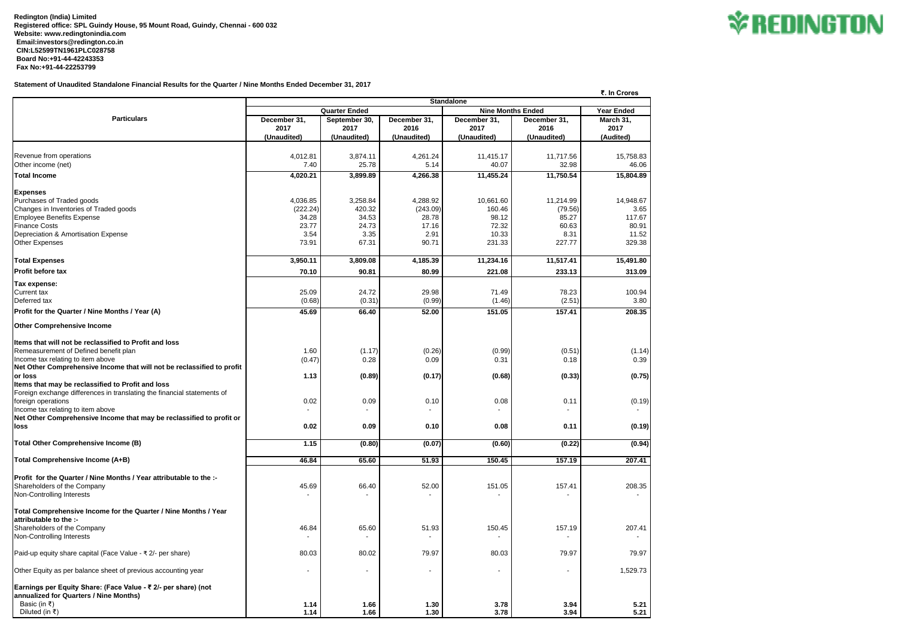**Redington (India) Limited Registered office: SPL Guindy House, 95 Mount Road, Guindy, Chennai - 600 032 Website: www.redingtonindia.com Email:investors@redington.co.in CIN:L52599TN1961PLC028758 Board No:+91-44-42243353 Fax No:+91-44-22253799**

**Statement of Unaudited Standalone Financial Results for the Quarter / Nine Months Ended December 31, 2017**

|                                                                         | ₹. In Crores             |                       |                      |                          |                      |                   |  |  |  |
|-------------------------------------------------------------------------|--------------------------|-----------------------|----------------------|--------------------------|----------------------|-------------------|--|--|--|
| <b>Particulars</b>                                                      | <b>Standalone</b>        |                       |                      |                          |                      |                   |  |  |  |
|                                                                         | <b>Quarter Ended</b>     |                       |                      | <b>Nine Months Ended</b> |                      | <b>Year Ended</b> |  |  |  |
|                                                                         | December 31,<br>2017     | September 30,<br>2017 | December 31,<br>2016 | December 31,<br>2017     | December 31,<br>2016 | March 31,<br>2017 |  |  |  |
|                                                                         | (Unaudited)              | (Unaudited)           | (Unaudited)          | (Unaudited)              | (Unaudited)          | (Audited)         |  |  |  |
|                                                                         |                          |                       |                      |                          |                      |                   |  |  |  |
| Revenue from operations                                                 | 4,012.81                 | 3,874.11              | 4,261.24             | 11,415.17                | 11,717.56            | 15,758.83         |  |  |  |
| Other income (net)                                                      | 7.40                     | 25.78                 | 5.14                 | 40.07                    | 32.98                | 46.06             |  |  |  |
| <b>Total Income</b>                                                     | 4,020.21                 | 3,899.89              | 4,266.38             | 11,455.24                | 11,750.54            | 15,804.89         |  |  |  |
| <b>Expenses</b>                                                         |                          |                       |                      |                          |                      |                   |  |  |  |
| Purchases of Traded goods                                               | 4,036.85                 | 3,258.84              | 4,288.92             | 10,661.60                | 11,214.99            | 14,948.67         |  |  |  |
| Changes in Inventories of Traded goods                                  | (222.24)                 | 420.32                | (243.09)             | 160.46                   | (79.56)              | 3.65              |  |  |  |
| <b>Employee Benefits Expense</b>                                        | 34.28                    | 34.53                 | 28.78                | 98.12                    | 85.27                | 117.67            |  |  |  |
| <b>Finance Costs</b>                                                    | 23.77                    | 24.73                 | 17.16                | 72.32                    | 60.63                | 80.91             |  |  |  |
| Depreciation & Amortisation Expense                                     | 3.54                     | 3.35                  | 2.91                 | 10.33                    | 8.31                 | 11.52             |  |  |  |
| Other Expenses                                                          | 73.91                    | 67.31                 | 90.71                | 231.33                   | 227.77               | 329.38            |  |  |  |
|                                                                         |                          |                       |                      |                          |                      |                   |  |  |  |
| <b>Total Expenses</b>                                                   | 3,950.11                 | 3,809.08              | 4,185.39             | 11,234.16                | 11,517.41            | 15,491.80         |  |  |  |
| <b>Profit before tax</b>                                                | 70.10                    | 90.81                 | 80.99                | 221.08                   | 233.13               | 313.09            |  |  |  |
| Tax expense:                                                            |                          |                       |                      |                          |                      |                   |  |  |  |
| Current tax                                                             | 25.09                    | 24.72                 | 29.98                | 71.49                    | 78.23                | 100.94            |  |  |  |
| Deferred tax                                                            | (0.68)                   | (0.31)                | (0.99)               | (1.46)                   | (2.51)               | 3.80              |  |  |  |
| Profit for the Quarter / Nine Months / Year (A)                         | 45.69                    | 66.40                 | 52.00                | 151.05                   | 157.41               | 208.35            |  |  |  |
|                                                                         |                          |                       |                      |                          |                      |                   |  |  |  |
| <b>Other Comprehensive Income</b>                                       |                          |                       |                      |                          |                      |                   |  |  |  |
| Items that will not be reclassified to Profit and loss                  |                          |                       |                      |                          |                      |                   |  |  |  |
| Remeasurement of Defined benefit plan                                   | 1.60                     | (1.17)                |                      |                          |                      |                   |  |  |  |
| Income tax relating to item above                                       | (0.47)                   | 0.28                  | (0.26)<br>0.09       | (0.99)<br>0.31           | (0.51)<br>0.18       | (1.14)<br>0.39    |  |  |  |
| Net Other Comprehensive Income that will not be reclassified to profit  |                          |                       |                      |                          |                      |                   |  |  |  |
| lor Ioss                                                                | 1.13                     | (0.89)                | (0.17)               | (0.68)                   | (0.33)               | (0.75)            |  |  |  |
| Items that may be reclassified to Profit and loss                       |                          |                       |                      |                          |                      |                   |  |  |  |
| Foreign exchange differences in translating the financial statements of |                          |                       |                      |                          |                      |                   |  |  |  |
| foreign operations                                                      | 0.02                     | 0.09                  | 0.10                 | 0.08                     | 0.11                 | (0.19)            |  |  |  |
| Income tax relating to item above                                       |                          |                       |                      |                          |                      |                   |  |  |  |
| Net Other Comprehensive Income that may be reclassified to profit or    |                          |                       |                      |                          |                      |                   |  |  |  |
| loss                                                                    | 0.02                     | 0.09                  | 0.10                 | 0.08                     | 0.11                 | (0.19)            |  |  |  |
|                                                                         |                          |                       |                      |                          |                      |                   |  |  |  |
| Total Other Comprehensive Income (B)                                    | 1.15                     | (0.80)                | (0.07)               | (0.60)                   | (0.22)               | (0.94)            |  |  |  |
| Total Comprehensive Income (A+B)                                        | 46.84                    | 65.60                 | 51.93                | 150.45                   | 157.19               | 207.41            |  |  |  |
|                                                                         |                          |                       |                      |                          |                      |                   |  |  |  |
| Profit for the Quarter / Nine Months / Year attributable to the :-      |                          |                       |                      |                          |                      |                   |  |  |  |
| Shareholders of the Company                                             | 45.69                    | 66.40                 | 52.00                | 151.05                   | 157.41               | 208.35            |  |  |  |
| Non-Controlling Interests                                               |                          |                       |                      |                          |                      |                   |  |  |  |
|                                                                         |                          |                       |                      |                          |                      |                   |  |  |  |
| Total Comprehensive Income for the Quarter / Nine Months / Year         |                          |                       |                      |                          |                      |                   |  |  |  |
| attributable to the :-                                                  |                          |                       |                      |                          |                      |                   |  |  |  |
| Shareholders of the Company                                             | 46.84                    | 65.60                 | 51.93                | 150.45                   | 157.19               | 207.41            |  |  |  |
| Non-Controlling Interests                                               |                          |                       |                      |                          |                      |                   |  |  |  |
| Paid-up equity share capital (Face Value - ₹ 2/- per share)             | 80.03                    | 80.02                 | 79.97                | 80.03                    | 79.97                | 79.97             |  |  |  |
|                                                                         |                          |                       |                      |                          |                      |                   |  |  |  |
| Other Equity as per balance sheet of previous accounting year           | $\overline{\phantom{a}}$ |                       | $\blacksquare$       |                          |                      | 1,529.73          |  |  |  |
|                                                                         |                          |                       |                      |                          |                      |                   |  |  |  |
| Earnings per Equity Share: (Face Value - ₹ 2/- per share) (not          |                          |                       |                      |                          |                      |                   |  |  |  |
| annualized for Quarters / Nine Months)                                  |                          |                       |                      |                          |                      |                   |  |  |  |
| Basic (in ₹)                                                            | 1.14                     | 1.66                  | 1.30                 | 3.78                     | 3.94                 | 5.21              |  |  |  |
| Diluted (in ₹)                                                          | 1.14                     | 1.66                  | $1.30$               | 3.78                     | 3.94                 | 5.21              |  |  |  |

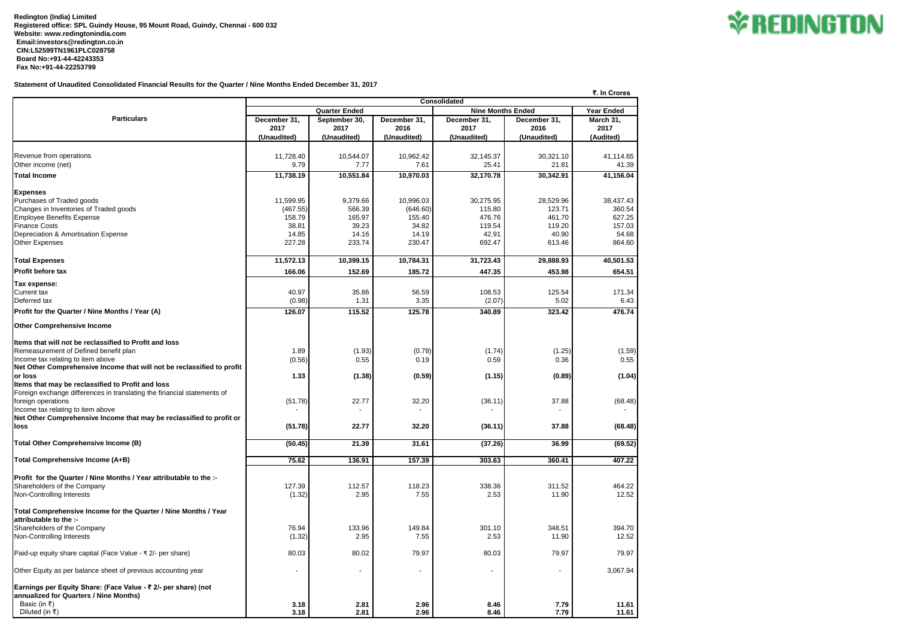**Redington (India) Limited Registered office: SPL Guindy House, 95 Mount Road, Guindy, Chennai - 600 032 Website: www.redingtonindia.com Email:investors@redington.co.in CIN:L52599TN1961PLC028758 Board No:+91-44-42243353 Fax No:+91-44-22253799**

**Statement of Unaudited Consolidated Financial Results for the Quarter / Nine Months Ended December 31, 2017**

|                                                                           |                                   |                      |                          |                              |                          | ₹. In Crores |  |  |  |
|---------------------------------------------------------------------------|-----------------------------------|----------------------|--------------------------|------------------------------|--------------------------|--------------|--|--|--|
| <b>Particulars</b>                                                        | Consolidated<br><b>Year Ended</b> |                      |                          |                              |                          |              |  |  |  |
|                                                                           |                                   | <b>Quarter Ended</b> |                          |                              | <b>Nine Months Ended</b> |              |  |  |  |
|                                                                           | December 31,                      | September 30,        | December 31,             | December 31,                 | December 31,             | March 31,    |  |  |  |
|                                                                           | 2017                              | 2017                 | 2016                     | 2017                         | 2016                     | 2017         |  |  |  |
|                                                                           | (Unaudited)                       | (Unaudited)          | (Unaudited)              | (Unaudited)                  | (Unaudited)              | (Audited)    |  |  |  |
|                                                                           |                                   |                      |                          |                              |                          |              |  |  |  |
| Revenue from operations                                                   | 11,728.40                         | 10,544.07            | 10,962.42                | 32,145.37                    | 30,321.10                | 41,114.65    |  |  |  |
| Other income (net)                                                        | 9.79                              | 7.77                 | 7.61                     | 25.41                        | 21.81                    | 41.39        |  |  |  |
| <b>Total Income</b>                                                       | 11,738.19                         | 10,551.84            | 10,970.03                | 32,170.78                    | 30,342.91                | 41,156.04    |  |  |  |
| <b>Expenses</b>                                                           |                                   |                      |                          |                              |                          |              |  |  |  |
| Purchases of Traded goods                                                 | 11,599.95                         | 9,379.66             | 10,996.03                | 30,275.95                    | 28,529.96                | 38,437.43    |  |  |  |
| Changes in Inventories of Traded goods                                    | (467.55)                          | 566.39               | (646.60)                 | 115.80                       | 123.71                   | 360.54       |  |  |  |
| Employee Benefits Expense                                                 | 158.79                            | 165.97               | 155.40                   | 476.76                       | 461.70                   | 627.25       |  |  |  |
| <b>Finance Costs</b>                                                      | 38.81                             | 39.23                | 34.82                    | 119.54                       | 119.20                   | 157.03       |  |  |  |
|                                                                           |                                   |                      |                          |                              |                          |              |  |  |  |
| Depreciation & Amortisation Expense                                       | 14.85                             | 14.16                | 14.19                    | 42.91                        | 40.90                    | 54.68        |  |  |  |
| <b>Other Expenses</b>                                                     | 227.28                            | 233.74               | 230.47                   | 692.47                       | 613.46                   | 864.60       |  |  |  |
| <b>Total Expenses</b>                                                     | 11,572.13                         | 10,399.15            | 10,784.31                | 31,723.43                    | 29,888.93                | 40,501.53    |  |  |  |
| <b>Profit before tax</b>                                                  | 166.06                            | 152.69               | 185.72                   | 447.35                       | 453.98                   | 654.51       |  |  |  |
| Tax expense:                                                              |                                   |                      |                          |                              |                          |              |  |  |  |
| <b>Current tax</b>                                                        | 40.97                             | 35.86                | 56.59                    | 108.53                       | 125.54                   | 171.34       |  |  |  |
| Deferred tax                                                              | (0.98)                            | 1.31                 | 3.35                     | (2.07)                       | 5.02                     | 6.43         |  |  |  |
| Profit for the Quarter / Nine Months / Year (A)                           | 126.07                            | 115.52               | 125.78                   | 340.89                       | 323.42                   | 476.74       |  |  |  |
|                                                                           |                                   |                      |                          |                              |                          |              |  |  |  |
| <b>Other Comprehensive Income</b>                                         |                                   |                      |                          |                              |                          |              |  |  |  |
| Items that will not be reclassified to Profit and loss                    |                                   |                      |                          |                              |                          |              |  |  |  |
| Remeasurement of Defined benefit plan                                     | 1.89                              | (1.93)               | (0.78)                   | (1.74)                       | (1.25)                   | (1.59)       |  |  |  |
| Income tax relating to item above                                         | (0.56)                            | 0.55                 | 0.19                     | 0.59                         | 0.36                     | 0.55         |  |  |  |
| Net Other Comprehensive Income that will not be reclassified to profit    |                                   |                      |                          |                              |                          |              |  |  |  |
| lor loss                                                                  | 1.33                              | (1.38)               | (0.59)                   | (1.15)                       | (0.89)                   | (1.04)       |  |  |  |
| Items that may be reclassified to Profit and loss                         |                                   |                      |                          |                              |                          |              |  |  |  |
|                                                                           |                                   |                      |                          |                              |                          |              |  |  |  |
| Foreign exchange differences in translating the financial statements of   |                                   |                      |                          |                              |                          |              |  |  |  |
| foreign operations                                                        | (51.78)                           | 22.77                | 32.20                    | (36.11)                      | 37.88                    | (68.48)      |  |  |  |
| Income tax relating to item above                                         |                                   |                      |                          |                              |                          |              |  |  |  |
| Net Other Comprehensive Income that may be reclassified to profit or      |                                   |                      |                          |                              |                          |              |  |  |  |
| loss                                                                      | (51.78)                           | 22.77                | 32.20                    | (36.11)                      | 37.88                    | (68.48)      |  |  |  |
| <b>Total Other Comprehensive Income (B)</b>                               | (50.45)                           | 21.39                | 31.61                    | (37.26)                      | 36.99                    | (69.52)      |  |  |  |
|                                                                           |                                   |                      |                          |                              |                          |              |  |  |  |
| Total Comprehensive Income (A+B)                                          | 75.62                             | 136.91               | 157.39                   | 303.63                       | 360.41                   | 407.22       |  |  |  |
| <b>Profit for the Quarter / Nine Months / Year attributable to the :-</b> |                                   |                      |                          |                              |                          |              |  |  |  |
| Shareholders of the Company                                               | 127.39                            | 112.57               | 118.23                   | 338.36                       | 311.52                   | 464.22       |  |  |  |
| Non-Controlling Interests                                                 | (1.32)                            | 2.95                 | 7.55                     | 2.53                         | 11.90                    | 12.52        |  |  |  |
|                                                                           |                                   |                      |                          |                              |                          |              |  |  |  |
| Total Comprehensive Income for the Quarter / Nine Months / Year           |                                   |                      |                          |                              |                          |              |  |  |  |
| attributable to the :-                                                    |                                   |                      |                          |                              |                          |              |  |  |  |
| Shareholders of the Company                                               | 76.94                             | 133.96               | 149.84                   | 301.10                       | 348.51                   | 394.70       |  |  |  |
| Non-Controlling Interests                                                 | (1.32)                            | 2.95                 | 7.55                     | 2.53                         | 11.90                    | 12.52        |  |  |  |
|                                                                           |                                   |                      |                          |                              |                          |              |  |  |  |
| Paid-up equity share capital (Face Value - ₹ 2/- per share)               | 80.03                             | 80.02                | 79.97                    | 80.03                        | 79.97                    | 79.97        |  |  |  |
| Other Equity as per balance sheet of previous accounting year             | ٠                                 |                      | $\overline{\phantom{a}}$ | $\qquad \qquad \blacksquare$ |                          | 3,067.94     |  |  |  |
| Earnings per Equity Share: (Face Value - ₹ 2/- per share) (not            |                                   |                      |                          |                              |                          |              |  |  |  |
| annualized for Quarters / Nine Months)                                    |                                   |                      |                          |                              |                          |              |  |  |  |
| Basic (in ₹)                                                              | 3.18                              | 2.81                 | 2.96                     | 8.46                         | 7.79                     | 11.61        |  |  |  |
| Diluted (in ₹)                                                            | 3.18                              | 2.81                 | 2.96                     | 8.46                         | 7.79                     | 11.61        |  |  |  |